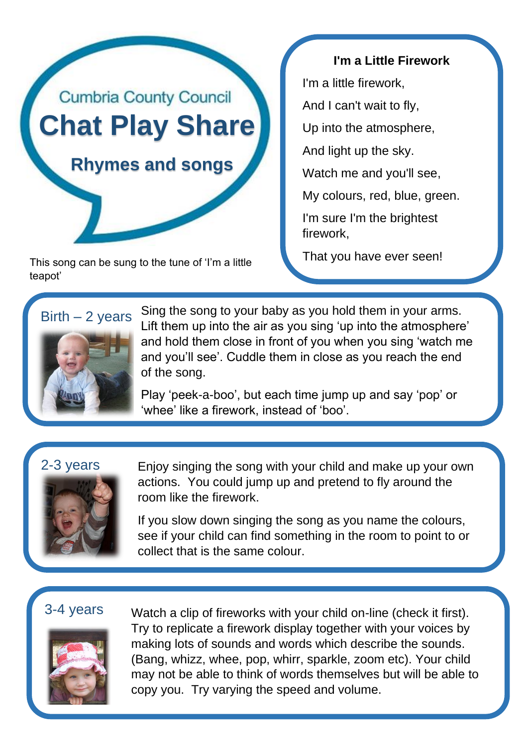

This song can be sung to the tune of 'I'm a little **That you have ever seen!** teapot'

## **I'm a Little Firework**

I'm a little firework,

And I can't wait to fly,

Up into the atmosphere,

And light up the sky.

Watch me and you'll see,

My colours, red, blue, green.

I'm sure I'm the brightest firework,





Sing the song to your baby as you hold them in your arms. Lift them up into the air as you sing 'up into the atmosphere' and hold them close in front of you when you sing 'watch me and you'll see'. Cuddle them in close as you reach the end of the song.

Play 'peek-a-boo', but each time jump up and say 'pop' or 'whee' like a firework, instead of 'boo'.

## 2-3 years



Enjoy singing the song with your child and make up your own actions. You could jump up and pretend to fly around the room like the firework.

If you slow down singing the song as you name the colours, see if your child can find something in the room to point to or collect that is the same colour.

# 3-4 years



Watch a clip of fireworks with your child on-line (check it first). Try to replicate a firework display together with your voices by making lots of sounds and words which describe the sounds. (Bang, whizz, whee, pop, whirr, sparkle, zoom etc). Your child may not be able to think of words themselves but will be able to copy you. Try varying the speed and volume.